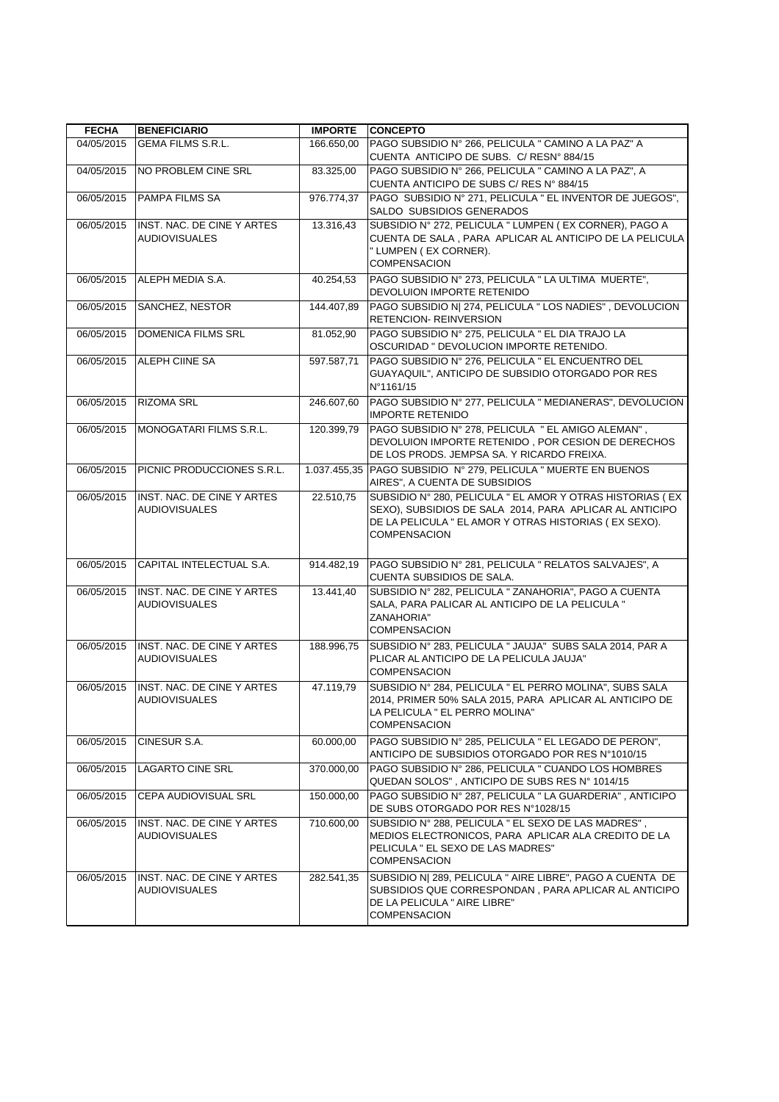| <b>FECHA</b> | <b>BENEFICIARIO</b>                                | <b>IMPORTE</b> | <b>CONCEPTO</b>                                                                                                                                                                                      |
|--------------|----------------------------------------------------|----------------|------------------------------------------------------------------------------------------------------------------------------------------------------------------------------------------------------|
| 04/05/2015   | <b>GEMA FILMS S.R.L.</b>                           | 166.650,00     | PAGO SUBSIDIO Nº 266, PELICULA " CAMINO A LA PAZ" A<br>CUENTA ANTICIPO DE SUBS. C/ RESNº 884/15                                                                                                      |
| 04/05/2015   | NO PROBLEM CINE SRL                                | 83.325,00      | PAGO SUBSIDIO Nº 266, PELICULA " CAMINO A LA PAZ", A<br>CUENTA ANTICIPO DE SUBS C/ RES Nº 884/15                                                                                                     |
| 06/05/2015   | PAMPA FILMS SA                                     | 976.774,37     | PAGO SUBSIDIO Nº 271, PELICULA " EL INVENTOR DE JUEGOS",<br>SALDO SUBSIDIOS GENERADOS                                                                                                                |
| 06/05/2015   | INST. NAC. DE CINE Y ARTES<br><b>AUDIOVISUALES</b> | 13.316,43      | SUBSIDIO Nº 272, PELICULA " LUMPEN ( EX CORNER), PAGO A<br>CUENTA DE SALA, PARA APLICAR AL ANTICIPO DE LA PELICULA<br>" LUMPEN (EX CORNER).<br><b>COMPENSACION</b>                                   |
| 06/05/2015   | ALEPH MEDIA S.A.                                   | 40.254,53      | PAGO SUBSIDIO Nº 273, PELICULA " LA ULTIMA MUERTE",<br>DEVOLUION IMPORTE RETENIDO                                                                                                                    |
| 06/05/2015   | SANCHEZ, NESTOR                                    | 144.407,89     | PAGO SUBSIDIO N  274, PELICULA " LOS NADIES", DEVOLUCION<br><b>RETENCION- REINVERSION</b>                                                                                                            |
| 06/05/2015   | <b>DOMENICA FILMS SRL</b>                          | 81.052,90      | PAGO SUBSIDIO Nº 275, PELICULA " EL DIA TRAJO LA<br>OSCURIDAD " DEVOLUCION IMPORTE RETENIDO.                                                                                                         |
| 06/05/2015   | <b>ALEPH CIINE SA</b>                              | 597.587,71     | PAGO SUBSIDIO Nº 276, PELICULA " EL ENCUENTRO DEL<br>GUAYAQUIL", ANTICIPO DE SUBSIDIO OTORGADO POR RES<br>N°1161/15                                                                                  |
| 06/05/2015   | <b>RIZOMA SRL</b>                                  | 246.607,60     | PAGO SUBSIDIO Nº 277, PELICULA " MEDIANERAS", DEVOLUCION<br><b>IMPORTE RETENIDO</b>                                                                                                                  |
| 06/05/2015   | MONOGATARI FILMS S.R.L.                            | 120.399,79     | PAGO SUBSIDIO Nº 278, PELICULA " EL AMIGO ALEMAN",<br>DEVOLUION IMPORTE RETENIDO, POR CESION DE DERECHOS<br>DE LOS PRODS. JEMPSA SA. Y RICARDO FREIXA.                                               |
| 06/05/2015   | PICNIC PRODUCCIONES S.R.L.                         | 1.037.455.35   | PAGO SUBSIDIO Nº 279, PELICULA " MUERTE EN BUENOS<br>AIRES", A CUENTA DE SUBSIDIOS                                                                                                                   |
| 06/05/2015   | INST. NAC. DE CINE Y ARTES<br><b>AUDIOVISUALES</b> | 22.510,75      | SUBSIDIO Nº 280, PELICULA " EL AMOR Y OTRAS HISTORIAS (EX<br>SEXO), SUBSIDIOS DE SALA 2014, PARA APLICAR AL ANTICIPO<br>DE LA PELICULA " EL AMOR Y OTRAS HISTORIAS (EX SEXO).<br><b>COMPENSACION</b> |
| 06/05/2015   | CAPITAL INTELECTUAL S.A.                           | 914.482,19     | PAGO SUBSIDIO Nº 281, PELICULA " RELATOS SALVAJES", A<br>CUENTA SUBSIDIOS DE SALA.                                                                                                                   |
| 06/05/2015   | INST. NAC. DE CINE Y ARTES<br><b>AUDIOVISUALES</b> | 13.441,40      | SUBSIDIO Nº 282, PELICULA " ZANAHORIA", PAGO A CUENTA<br>SALA, PARA PALICAR AL ANTICIPO DE LA PELICULA "<br>ZANAHORIA"<br><b>COMPENSACION</b>                                                        |
| 06/05/2015   | INST. NAC. DE CINE Y ARTES<br><b>AUDIOVISUALES</b> | 188.996,75     | SUBSIDIO Nº 283, PELICULA " JAUJA" SUBS SALA 2014, PAR A<br>PLICAR AL ANTICIPO DE LA PELICULA JAUJA"<br><b>COMPENSACION</b>                                                                          |
| 06/05/2015   | INST. NAC. DE CINE Y ARTES<br><b>AUDIOVISUALES</b> | 47.119.79      | SUBSIDIO Nº 284, PELICULA " EL PERRO MOLINA", SUBS SALA<br>2014, PRIMER 50% SALA 2015, PARA APLICAR AL ANTICIPO DE<br>LA PELICULA " EL PERRO MOLINA"<br><b>COMPENSACION</b>                          |
| 06/05/2015   | CINESUR S.A.                                       | 60.000,00      | PAGO SUBSIDIO Nº 285, PELICULA " EL LEGADO DE PERON",<br>ANTICIPO DE SUBSIDIOS OTORGADO POR RES Nº1010/15                                                                                            |
| 06/05/2015   | LAGARTO CINE SRL                                   | 370.000.00     | PAGO SUBSIDIO Nº 286, PELICULA " CUANDO LOS HOMBRES<br>QUEDAN SOLOS", ANTICIPO DE SUBS RES Nº 1014/15                                                                                                |
| 06/05/2015   | CEPA AUDIOVISUAL SRL                               | 150.000,00     | PAGO SUBSIDIO Nº 287, PELICULA " LA GUARDERIA", ANTICIPO<br>DE SUBS OTORGADO POR RES N°1028/15                                                                                                       |
| 06/05/2015   | INST. NAC. DE CINE Y ARTES<br><b>AUDIOVISUALES</b> | 710.600,00     | SUBSIDIO Nº 288, PELICULA " EL SEXO DE LAS MADRES",<br>MEDIOS ELECTRONICOS, PARA APLICAR ALA CREDITO DE LA<br>PELICULA " EL SEXO DE LAS MADRES"<br>COMPENSACION                                      |
| 06/05/2015   | INST. NAC. DE CINE Y ARTES<br><b>AUDIOVISUALES</b> | 282.541,35     | SUBSIDIO N  289, PELICULA " AIRE LIBRE", PAGO A CUENTA DE<br>SUBSIDIOS QUE CORRESPONDAN, PARA APLICAR AL ANTICIPO<br>DE LA PELICULA " AIRE LIBRE"<br>COMPENSACION                                    |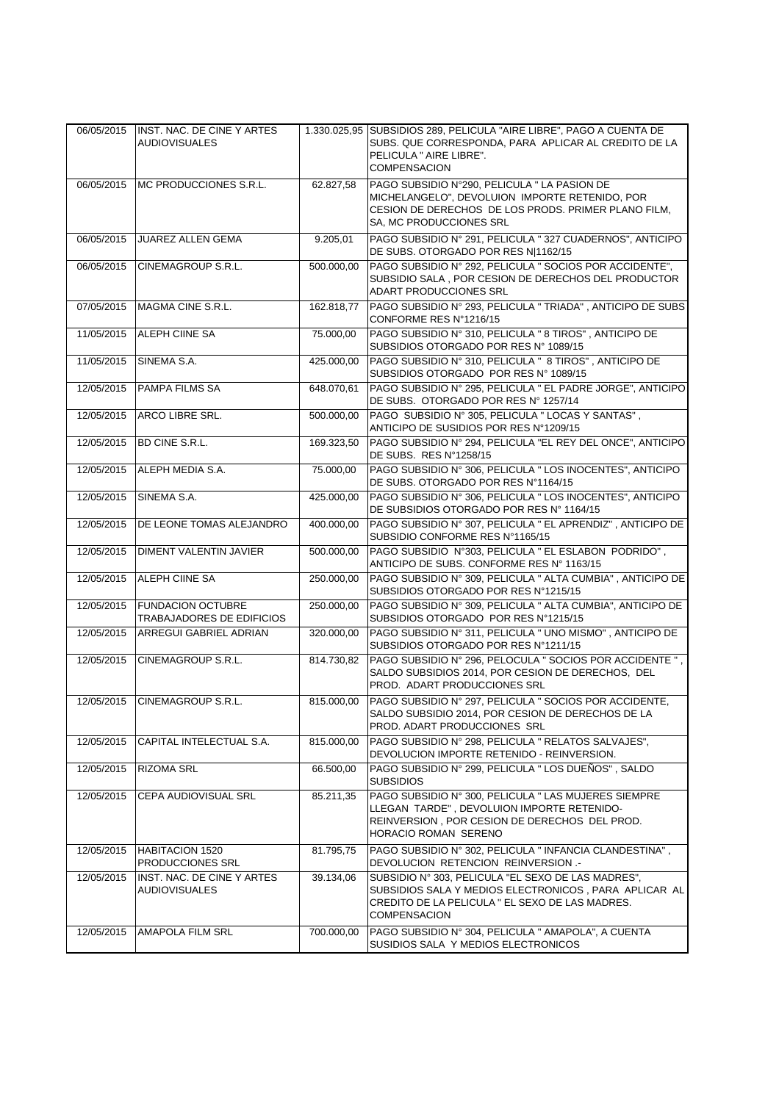|            |                                                           |            | 1.330.025,95 SUBSIDIOS 289, PELICULA "AIRE LIBRE", PAGO A CUENTA DE                                                                                                                   |
|------------|-----------------------------------------------------------|------------|---------------------------------------------------------------------------------------------------------------------------------------------------------------------------------------|
| 06/05/2015 | <b>INST. NAC. DE CINE Y ARTES</b><br><b>AUDIOVISUALES</b> |            | SUBS. QUE CORRESPONDA, PARA APLICAR AL CREDITO DE LA<br>PELICULA " AIRE LIBRE".<br><b>COMPENSACION</b>                                                                                |
| 06/05/2015 | MC PRODUCCIONES S.R.L.                                    | 62.827,58  | PAGO SUBSIDIO N°290, PELICULA " LA PASION DE<br>MICHELANGELO", DEVOLUION IMPORTE RETENIDO, POR<br>CESION DE DERECHOS DE LOS PRODS. PRIMER PLANO FILM,<br>SA, MC PRODUCCIONES SRL      |
| 06/05/2015 | <b>JUAREZ ALLEN GEMA</b>                                  | 9.205,01   | PAGO SUBSIDIO Nº 291, PELICULA " 327 CUADERNOS", ANTICIPO<br>DE SUBS. OTORGADO POR RES N 1162/15                                                                                      |
| 06/05/2015 | CINEMAGROUP S.R.L.                                        | 500.000,00 | PAGO SUBSIDIO Nº 292, PELICULA " SOCIOS POR ACCIDENTE",<br>SUBSIDIO SALA, POR CESION DE DERECHOS DEL PRODUCTOR<br>ADART PRODUCCIONES SRL                                              |
| 07/05/2015 | MAGMA CINE S.R.L.                                         | 162.818,77 | PAGO SUBSIDIO Nº 293, PELICULA " TRIADA", ANTICIPO DE SUBS<br>CONFORME RES N°1216/15                                                                                                  |
| 11/05/2015 | <b>ALEPH CIINE SA</b>                                     | 75.000,00  | PAGO SUBSIDIO Nº 310, PELICULA " 8 TIROS", ANTICIPO DE<br>SUBSIDIOS OTORGADO POR RES Nº 1089/15                                                                                       |
| 11/05/2015 | SINEMA S.A.                                               | 425.000,00 | PAGO SUBSIDIO Nº 310, PELICULA " 8 TIROS", ANTICIPO DE<br>SUBSIDIOS OTORGADO POR RES Nº 1089/15                                                                                       |
| 12/05/2015 | <b>PAMPA FILMS SA</b>                                     | 648.070,61 | PAGO SUBSIDIO Nº 295, PELICULA " EL PADRE JORGE", ANTICIPO<br>DE SUBS. OTORGADO POR RES Nº 1257/14                                                                                    |
| 12/05/2015 | ARCO LIBRE SRL.                                           | 500.000.00 | PAGO SUBSIDIO Nº 305. PELICULA " LOCAS Y SANTAS".<br>ANTICIPO DE SUSIDIOS POR RES Nº1209/15                                                                                           |
| 12/05/2015 | <b>BD CINE S.R.L.</b>                                     | 169.323,50 | PAGO SUBSIDIO Nº 294, PELICULA "EL REY DEL ONCE", ANTICIPO<br>DE SUBS. RES N°1258/15                                                                                                  |
| 12/05/2015 | ALEPH MEDIA S.A.                                          | 75.000,00  | PAGO SUBSIDIO Nº 306, PELICULA " LOS INOCENTES", ANTICIPO<br>DE SUBS. OTORGADO POR RES Nº1164/15                                                                                      |
| 12/05/2015 | SINEMA S.A.                                               | 425.000,00 | PAGO SUBSIDIO Nº 306, PELICULA " LOS INOCENTES", ANTICIPO<br>DE SUBSIDIOS OTORGADO POR RES Nº 1164/15                                                                                 |
| 12/05/2015 | DE LEONE TOMAS ALEJANDRO                                  | 400.000,00 | PAGO SUBSIDIO Nº 307, PELICULA " EL APRENDIZ", ANTICIPO DE<br>SUBSIDIO CONFORME RES N°1165/15                                                                                         |
| 12/05/2015 | DIMENT VALENTIN JAVIER                                    | 500.000,00 | PAGO SUBSIDIO Nº303, PELICULA " EL ESLABON PODRIDO",<br>ANTICIPO DE SUBS. CONFORME RES Nº 1163/15                                                                                     |
| 12/05/2015 | ALEPH CIINE SA                                            | 250.000,00 | PAGO SUBSIDIO Nº 309, PELICULA " ALTA CUMBIA", ANTICIPO DE<br>SUBSIDIOS OTORGADO POR RES Nº1215/15                                                                                    |
| 12/05/2015 | <b>FUNDACION OCTUBRE</b><br>TRABAJADORES DE EDIFICIOS     | 250.000,00 | PAGO SUBSIDIO Nº 309, PELICULA " ALTA CUMBIA", ANTICIPO DE<br>SUBSIDIOS OTORGADO POR RES Nº1215/15                                                                                    |
| 12/05/2015 | <b>ARREGUI GABRIEL ADRIAN</b>                             | 320.000,00 | PAGO SUBSIDIO Nº 311, PELICULA " UNO MISMO", ANTICIPO DE<br>SUBSIDIOS OTORGADO POR RES N°1211/15                                                                                      |
| 12/05/2015 | <b>CINEMAGROUP S.R.L.</b>                                 | 814.730.82 | PAGO SUBSIDIO Nº 296, PELOCULA " SOCIOS POR ACCIDENTE ",<br>SALDO SUBSIDIOS 2014, POR CESION DE DERECHOS, DEL<br>PROD. ADART PRODUCCIONES SRL                                         |
| 12/05/2015 | <b>CINEMAGROUP S.R.L.</b>                                 | 815.000,00 | PAGO SUBSIDIO Nº 297, PELICULA " SOCIOS POR ACCIDENTE,<br>SALDO SUBSIDIO 2014, POR CESION DE DERECHOS DE LA<br>PROD. ADART PRODUCCIONES SRL                                           |
| 12/05/2015 | CAPITAL INTELECTUAL S.A.                                  | 815.000,00 | PAGO SUBSIDIO Nº 298, PELICULA " RELATOS SALVAJES",<br>DEVOLUCION IMPORTE RETENIDO - REINVERSION.                                                                                     |
| 12/05/2015 | <b>RIZOMA SRL</b>                                         | 66.500,00  | PAGO SUBSIDIO Nº 299, PELICULA " LOS DUEÑOS", SALDO<br><b>SUBSIDIOS</b>                                                                                                               |
| 12/05/2015 | CEPA AUDIOVISUAL SRL                                      | 85.211,35  | PAGO SUBSIDIO Nº 300, PELICULA " LAS MUJERES SIEMPRE<br>LLEGAN TARDE", DEVOLUION IMPORTE RETENIDO-<br>REINVERSION, POR CESION DE DERECHOS DEL PROD.<br>HORACIO ROMAN SERENO           |
| 12/05/2015 | <b>HABITACION 1520</b><br>PRODUCCIONES SRL                | 81.795,75  | PAGO SUBSIDIO Nº 302, PELICULA " INFANCIA CLANDESTINA",<br>DEVOLUCION RETENCION REINVERSION .-                                                                                        |
| 12/05/2015 | INST. NAC. DE CINE Y ARTES<br><b>AUDIOVISUALES</b>        | 39.134,06  | SUBSIDIO Nº 303, PELICULA "EL SEXO DE LAS MADRES",<br>SUBSIDIOS SALA Y MEDIOS ELECTRONICOS, PARA APLICAR AL<br>CREDITO DE LA PELICULA " EL SEXO DE LAS MADRES.<br><b>COMPENSACION</b> |
| 12/05/2015 | <b>AMAPOLA FILM SRL</b>                                   | 700.000,00 | PAGO SUBSIDIO Nº 304, PELICULA " AMAPOLA", A CUENTA<br>SUSIDIOS SALA Y MEDIOS ELECTRONICOS                                                                                            |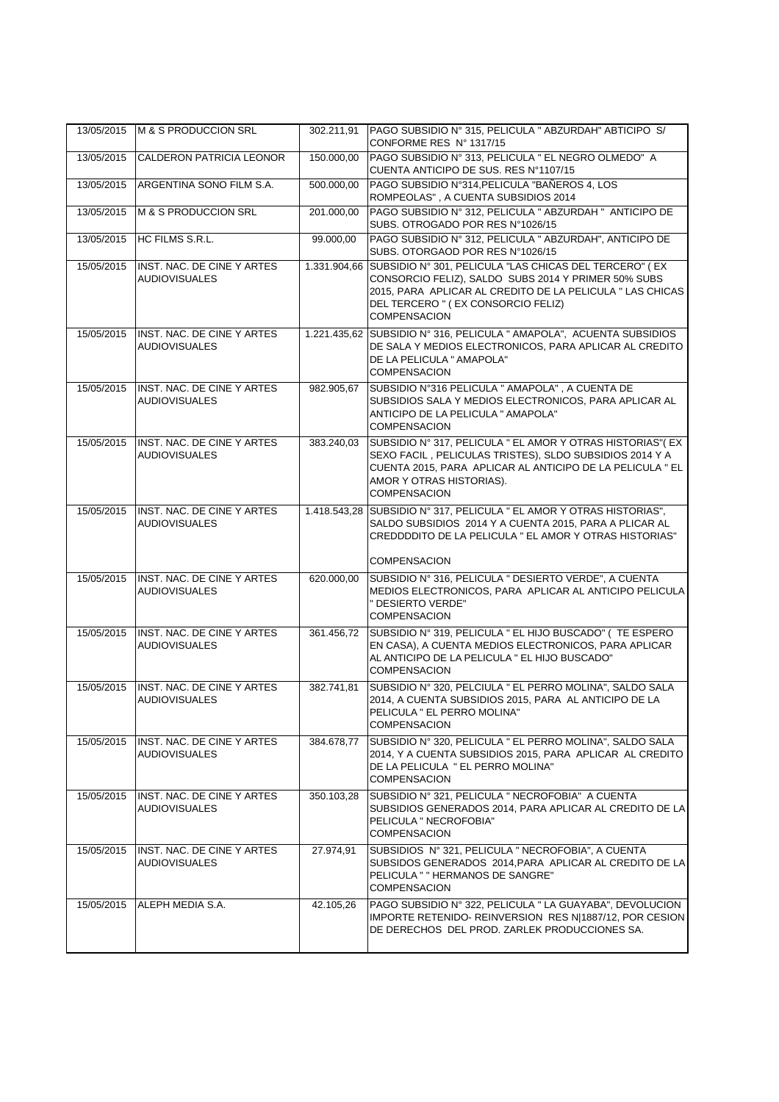| 13/05/2015 | M & S PRODUCCION SRL                                      | 302.211,91 | PAGO SUBSIDIO Nº 315, PELICULA " ABZURDAH" ABTICIPO S/                                                                                                                                                                                               |
|------------|-----------------------------------------------------------|------------|------------------------------------------------------------------------------------------------------------------------------------------------------------------------------------------------------------------------------------------------------|
| 13/05/2015 | <b>CALDERON PATRICIA LEONOR</b>                           | 150.000.00 | CONFORME RES Nº 1317/15<br>PAGO SUBSIDIO Nº 313, PELICULA " EL NEGRO OLMEDO" A                                                                                                                                                                       |
| 13/05/2015 | ARGENTINA SONO FILM S.A.                                  | 500.000,00 | CUENTA ANTICIPO DE SUS. RES Nº1107/15<br>PAGO SUBSIDIO Nº314, PELICULA "BAÑEROS 4, LOS                                                                                                                                                               |
|            |                                                           |            | ROMPEOLAS", A CUENTA SUBSIDIOS 2014                                                                                                                                                                                                                  |
| 13/05/2015 | M & S PRODUCCION SRL                                      | 201.000,00 | PAGO SUBSIDIO Nº 312, PELICULA " ABZURDAH " ANTICIPO DE<br>SUBS. OTROGADO POR RES N°1026/15                                                                                                                                                          |
| 13/05/2015 | HC FILMS S.R.L.                                           | 99.000,00  | PAGO SUBSIDIO Nº 312, PELICULA " ABZURDAH", ANTICIPO DE<br>SUBS. OTORGAOD POR RES N°1026/15                                                                                                                                                          |
| 15/05/2015 | INST. NAC. DE CINE Y ARTES<br><b>AUDIOVISUALES</b>        |            | 1.331.904,66 SUBSIDIO Nº 301, PELICULA "LAS CHICAS DEL TERCERO" (EX<br>CONSORCIO FELIZ), SALDO SUBS 2014 Y PRIMER 50% SUBS<br>2015, PARA APLICAR AL CREDITO DE LA PELICULA " LAS CHICAS<br>DEL TERCERO " (EX CONSORCIO FELIZ)<br><b>COMPENSACION</b> |
| 15/05/2015 | INST. NAC. DE CINE Y ARTES<br><b>AUDIOVISUALES</b>        |            | 1.221.435,62 SUBSIDIO Nº 316, PELICULA " AMAPOLA", ACUENTA SUBSIDIOS<br>DE SALA Y MEDIOS ELECTRONICOS, PARA APLICAR AL CREDITO<br>DE LA PELICULA " AMAPOLA"<br><b>COMPENSACION</b>                                                                   |
| 15/05/2015 | INST. NAC. DE CINE Y ARTES<br><b>AUDIOVISUALES</b>        | 982.905,67 | SUBSIDIO N°316 PELICULA " AMAPOLA", A CUENTA DE<br>SUBSIDIOS SALA Y MEDIOS ELECTRONICOS, PARA APLICAR AL<br>ANTICIPO DE LA PELICULA " AMAPOLA"<br><b>COMPENSACION</b>                                                                                |
| 15/05/2015 | INST. NAC. DE CINE Y ARTES<br><b>AUDIOVISUALES</b>        | 383.240,03 | SUBSIDIO Nº 317, PELICULA " EL AMOR Y OTRAS HISTORIAS" (EX<br>SEXO FACIL, PELICULAS TRISTES), SLDO SUBSIDIOS 2014 Y A<br>CUENTA 2015, PARA APLICAR AL ANTICIPO DE LA PELICULA " EL<br>AMOR Y OTRAS HISTORIAS).<br><b>COMPENSACION</b>                |
| 15/05/2015 | INST. NAC. DE CINE Y ARTES<br><b>AUDIOVISUALES</b>        |            | 1.418.543,28 SUBSIDIO Nº 317, PELICULA " EL AMOR Y OTRAS HISTORIAS",<br>SALDO SUBSIDIOS 2014 Y A CUENTA 2015, PARA A PLICAR AL<br>CREDDDDITO DE LA PELICULA " EL AMOR Y OTRAS HISTORIAS"<br><b>COMPENSACION</b>                                      |
| 15/05/2015 | INST. NAC. DE CINE Y ARTES<br><b>AUDIOVISUALES</b>        | 620.000,00 | SUBSIDIO Nº 316, PELICULA " DESIERTO VERDE", A CUENTA<br>MEDIOS ELECTRONICOS, PARA APLICAR AL ANTICIPO PELICULA<br>" DESIERTO VERDE"<br><b>COMPENSACION</b>                                                                                          |
| 15/05/2015 | INST. NAC. DE CINE Y ARTES<br><b>AUDIOVISUALES</b>        | 361.456,72 | SUBSIDIO Nº 319, PELICULA " EL HIJO BUSCADO" ( TE ESPERO<br>EN CASA), A CUENTA MEDIOS ELECTRONICOS, PARA APLICAR<br>AL ANTICIPO DE LA PELICULA " EL HIJO BUSCADO"<br><b>COMPENSACION</b>                                                             |
| 15/05/2015 | <b>INST. NAC. DE CINE Y ARTES</b><br><b>AUDIOVISUALES</b> | 382.741,81 | SUBSIDIO Nº 320, PELCIULA " EL PERRO MOLINA", SALDO SALA<br>2014, A CUENTA SUBSIDIOS 2015, PARA AL ANTICIPO DE LA<br>PELICULA " EL PERRO MOLINA"<br>COMPENSACION                                                                                     |
| 15/05/2015 | INST. NAC. DE CINE Y ARTES<br><b>AUDIOVISUALES</b>        | 384.678,77 | SUBSIDIO Nº 320, PELICULA " EL PERRO MOLINA", SALDO SALA<br>2014, Y A CUENTA SUBSIDIOS 2015, PARA APLICAR AL CREDITO<br>DE LA PELICULA " EL PERRO MOLINA"<br>COMPENSACION                                                                            |
| 15/05/2015 | INST. NAC. DE CINE Y ARTES<br><b>AUDIOVISUALES</b>        | 350.103,28 | SUBSIDIO Nº 321, PELICULA " NECROFOBIA" A CUENTA<br>SUBSIDIOS GENERADOS 2014, PARA APLICAR AL CREDITO DE LA<br>PELICULA " NECROFOBIA"<br><b>COMPENSACION</b>                                                                                         |
| 15/05/2015 | INST. NAC. DE CINE Y ARTES<br><b>AUDIOVISUALES</b>        | 27.974,91  | SUBSIDIOS Nº 321, PELICULA " NECROFOBIA", A CUENTA<br>SUBSIDOS GENERADOS 2014, PARA APLICAR AL CREDITO DE LA<br>PELICULA " " HERMANOS DE SANGRE"<br><b>COMPENSACION</b>                                                                              |
| 15/05/2015 | ALEPH MEDIA S.A.                                          | 42.105,26  | PAGO SUBSIDIO Nº 322, PELICULA " LA GUAYABA", DEVOLUCION<br>IMPORTE RETENIDO- REINVERSION RES N 1887/12, POR CESION<br>DE DERECHOS DEL PROD. ZARLEK PRODUCCIONES SA.                                                                                 |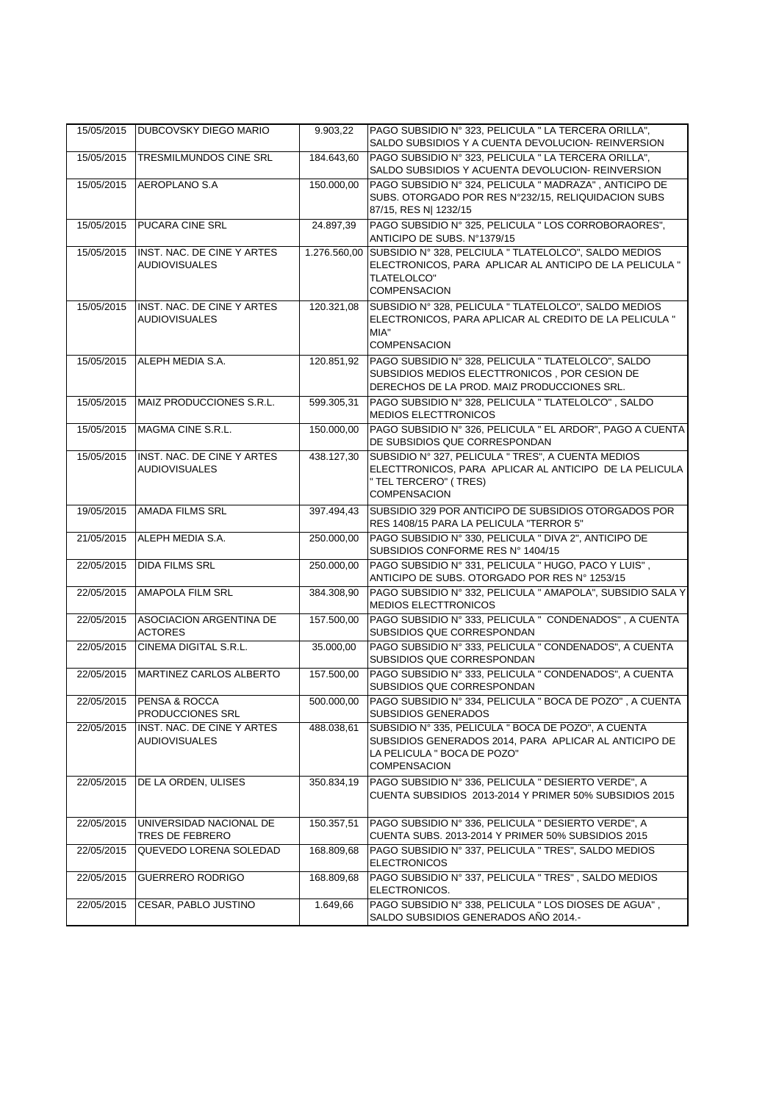| 15/05/2015 | DUBCOVSKY DIEGO MARIO                              | 9.903.22     | PAGO SUBSIDIO Nº 323, PELICULA " LA TERCERA ORILLA",<br>SALDO SUBSIDIOS Y A CUENTA DEVOLUCION- REINVERSION                                                         |
|------------|----------------------------------------------------|--------------|--------------------------------------------------------------------------------------------------------------------------------------------------------------------|
| 15/05/2015 | TRESMILMUNDOS CINE SRL                             | 184.643,60   | PAGO SUBSIDIO Nº 323, PELICULA " LA TERCERA ORILLA",<br>SALDO SUBSIDIOS Y ACUENTA DEVOLUCION- REINVERSION                                                          |
| 15/05/2015 | AEROPLANO S.A                                      | 150.000,00   | PAGO SUBSIDIO Nº 324, PELICULA " MADRAZA", ANTICIPO DE<br>SUBS. OTORGADO POR RES N°232/15, RELIQUIDACION SUBS<br>87/15, RES N  1232/15                             |
| 15/05/2015 | PUCARA CINE SRL                                    | 24.897,39    | PAGO SUBSIDIO Nº 325, PELICULA " LOS CORROBORAORES",<br>ANTICIPO DE SUBS. Nº1379/15                                                                                |
| 15/05/2015 | INST. NAC. DE CINE Y ARTES<br><b>AUDIOVISUALES</b> | 1.276.560,00 | SUBSIDIO Nº 328, PELCIULA " TLATELOLCO", SALDO MEDIOS<br>ELECTRONICOS, PARA APLICAR AL ANTICIPO DE LA PELICULA "<br><b>TLATELOLCO"</b><br><b>COMPENSACION</b>      |
| 15/05/2015 | INST. NAC. DE CINE Y ARTES<br><b>AUDIOVISUALES</b> | 120.321,08   | SUBSIDIO Nº 328, PELICULA " TLATELOLCO", SALDO MEDIOS<br>ELECTRONICOS, PARA APLICAR AL CREDITO DE LA PELICULA "<br>MIA"<br><b>COMPENSACION</b>                     |
| 15/05/2015 | ALEPH MEDIA S.A.                                   | 120.851,92   | PAGO SUBSIDIO Nº 328, PELICULA " TLATELOLCO", SALDO<br>SUBSIDIOS MEDIOS ELECTTRONICOS, POR CESION DE<br>DERECHOS DE LA PROD. MAIZ PRODUCCIONES SRL.                |
| 15/05/2015 | MAIZ PRODUCCIONES S.R.L.                           | 599.305,31   | PAGO SUBSIDIO Nº 328, PELICULA " TLATELOLCO", SALDO<br><b>MEDIOS ELECTTRONICOS</b>                                                                                 |
| 15/05/2015 | MAGMA CINE S.R.L.                                  | 150.000,00   | PAGO SUBSIDIO Nº 326, PELICULA " EL ARDOR", PAGO A CUENTA<br>DE SUBSIDIOS QUE CORRESPONDAN                                                                         |
| 15/05/2015 | INST. NAC. DE CINE Y ARTES<br><b>AUDIOVISUALES</b> | 438.127.30   | SUBSIDIO Nº 327, PELICULA " TRES", A CUENTA MEDIOS<br>ELECTTRONICOS, PARA APLICAR AL ANTICIPO DE LA PELICULA<br>" TEL TERCERO" (TRES)<br><b>COMPENSACION</b>       |
| 19/05/2015 | <b>AMADA FILMS SRL</b>                             | 397.494,43   | SUBSIDIO 329 POR ANTICIPO DE SUBSIDIOS OTORGADOS POR<br>RES 1408/15 PARA LA PELICULA "TERROR 5"                                                                    |
| 21/05/2015 | ALEPH MEDIA S.A.                                   | 250.000,00   | PAGO SUBSIDIO Nº 330, PELICULA " DIVA 2", ANTICIPO DE<br>SUBSIDIOS CONFORME RES Nº 1404/15                                                                         |
| 22/05/2015 | <b>DIDA FILMS SRL</b>                              | 250.000,00   | PAGO SUBSIDIO Nº 331, PELICULA " HUGO, PACO Y LUIS",<br>ANTICIPO DE SUBS. OTORGADO POR RES Nº 1253/15                                                              |
| 22/05/2015 | <b>AMAPOLA FILM SRL</b>                            | 384.308,90   | PAGO SUBSIDIO Nº 332, PELICULA " AMAPOLA", SUBSIDIO SALA Y<br><b>MEDIOS ELECTTRONICOS</b>                                                                          |
| 22/05/2015 | <b>ASOCIACION ARGENTINA DE</b><br><b>ACTORES</b>   | 157.500,00   | PAGO SUBSIDIO Nº 333, PELICULA " CONDENADOS", A CUENTA<br>SUBSIDIOS QUE CORRESPONDAN                                                                               |
| 22/05/2015 | <b>CINEMA DIGITAL S.R.L.</b>                       | 35,000.00    | PAGO SUBSIDIO Nº 333, PELICULA " CONDENADOS", A CUENTA<br>SUBSIDIOS QUE CORRESPONDAN                                                                               |
| 22/05/2015 | MARTINEZ CARLOS ALBERTO                            | 157.500,00   | PAGO SUBSIDIO Nº 333, PELICULA " CONDENADOS", A CUENTA<br>SUBSIDIOS QUE CORRESPONDAN                                                                               |
| 22/05/2015 | <b>PENSA &amp; ROCCA</b><br>PRODUCCIONES SRL       | 500.000,00   | PAGO SUBSIDIO Nº 334, PELICULA " BOCA DE POZO", A CUENTA<br>SUBSIDIOS GENERADOS                                                                                    |
| 22/05/2015 | INST. NAC. DE CINE Y ARTES<br><b>AUDIOVISUALES</b> | 488.038,61   | SUBSIDIO Nº 335, PELICULA " BOCA DE POZO", A CUENTA<br>SUBSIDIOS GENERADOS 2014, PARA APLICAR AL ANTICIPO DE<br>LA PELICULA " BOCA DE POZO"<br><b>COMPENSACION</b> |
| 22/05/2015 | DE LA ORDEN, ULISES                                | 350.834,19   | PAGO SUBSIDIO Nº 336, PELICULA " DESIERTO VERDE", A<br>CUENTA SUBSIDIOS 2013-2014 Y PRIMER 50% SUBSIDIOS 2015                                                      |
| 22/05/2015 | UNIVERSIDAD NACIONAL DE<br>TRES DE FEBRERO         | 150.357,51   | PAGO SUBSIDIO Nº 336, PELICULA " DESIERTO VERDE", A<br>CUENTA SUBS. 2013-2014 Y PRIMER 50% SUBSIDIOS 2015                                                          |
| 22/05/2015 | QUEVEDO LORENA SOLEDAD                             | 168.809,68   | PAGO SUBSIDIO Nº 337, PELICULA " TRES", SALDO MEDIOS<br><b>ELECTRONICOS</b>                                                                                        |
| 22/05/2015 | GUERRERO RODRIGO                                   | 168.809,68   | PAGO SUBSIDIO Nº 337, PELICULA " TRES", SALDO MEDIOS<br>ELECTRONICOS.                                                                                              |
| 22/05/2015 | CESAR, PABLO JUSTINO                               | 1.649,66     | PAGO SUBSIDIO Nº 338, PELICULA " LOS DIOSES DE AGUA",<br>SALDO SUBSIDIOS GENERADOS AÑO 2014.-                                                                      |